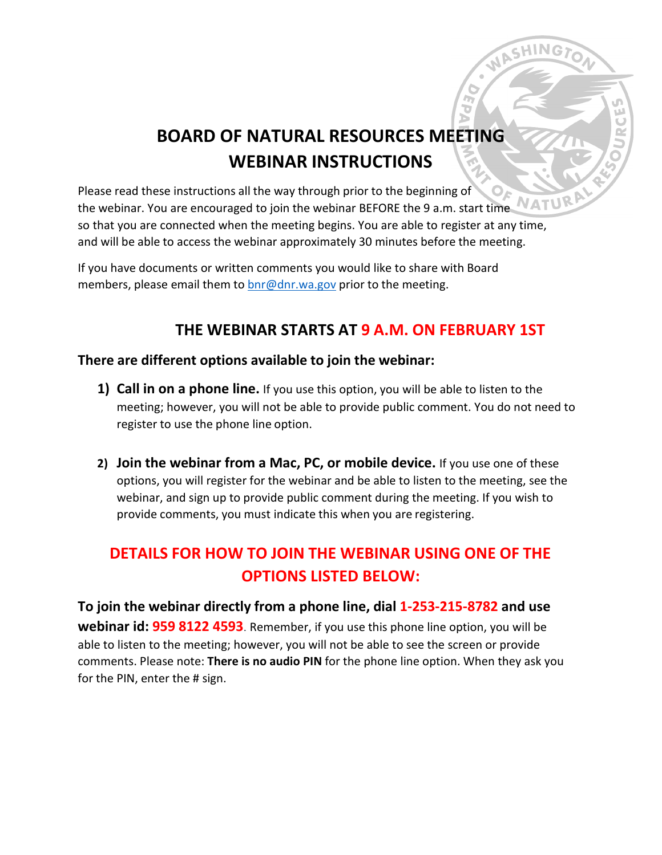# **BOARD OF NATURAL RESOURCES MEETING WEBINAR INSTRUCTIONS**

**CHING** 

Please read these instructions all the way through prior to the beginning of **NATUV** the webinar. You are encouraged to join the webinar BEFORE the 9 a.m. start time so that you are connected when the meeting begins. You are able to register at any time, and will be able to access the webinar approximately 30 minutes before the meeting.

If you have documents or written comments you would like to share with Board members, please email them to [bnr@dnr.wa.gov](mailto:bnr@dnr.wa.gov) prior to the meeting.

### **THE WEBINAR STARTS AT 9 A.M. ON FEBRUARY 1ST**

#### **There are different options available to join the webinar:**

- **1) Call in on a phone line.** If you use this option, you will be able to listen to the meeting; however, you will not be able to provide public comment. You do not need to register to use the phone line option.
- **2) Join the webinar from a Mac, PC, or mobile device.** If you use one of these options, you will register for the webinar and be able to listen to the meeting, see the webinar, and sign up to provide public comment during the meeting. If you wish to provide comments, you must indicate this when you are registering.

## **DETAILS FOR HOW TO JOIN THE WEBINAR USING ONE OF THE OPTIONS LISTED BELOW:**

**To join the webinar directly from a phone line, dial 1-253-215-8782 and use webinar id: 959 8122 4593**. Remember, if you use this phone line option, you will be able to listen to the meeting; however, you will not be able to see the screen or provide comments. Please note: **There is no audio PIN** for the phone line option. When they ask you for the PIN, enter the # sign.